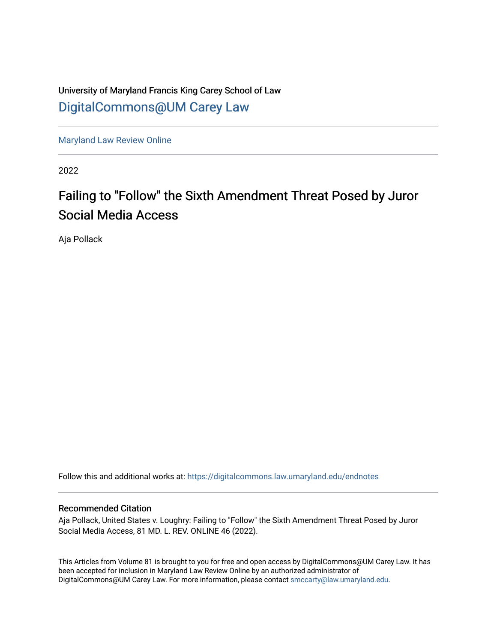University of Maryland Francis King Carey School of Law [DigitalCommons@UM Carey Law](https://digitalcommons.law.umaryland.edu/)

[Maryland Law Review Online](https://digitalcommons.law.umaryland.edu/endnotes)

2022

# Failing to "Follow" the Sixth Amendment Threat Posed by Juror Social Media Access

Aja Pollack

Follow this and additional works at: [https://digitalcommons.law.umaryland.edu/endnotes](https://digitalcommons.law.umaryland.edu/endnotes?utm_source=digitalcommons.law.umaryland.edu%2Fendnotes%2F78&utm_medium=PDF&utm_campaign=PDFCoverPages) 

## Recommended Citation

Aja Pollack, United States v. Loughry: Failing to "Follow" the Sixth Amendment Threat Posed by Juror Social Media Access, 81 MD. L. REV. ONLINE 46 (2022).

This Articles from Volume 81 is brought to you for free and open access by DigitalCommons@UM Carey Law. It has been accepted for inclusion in Maryland Law Review Online by an authorized administrator of DigitalCommons@UM Carey Law. For more information, please contact [smccarty@law.umaryland.edu.](mailto:smccarty@law.umaryland.edu)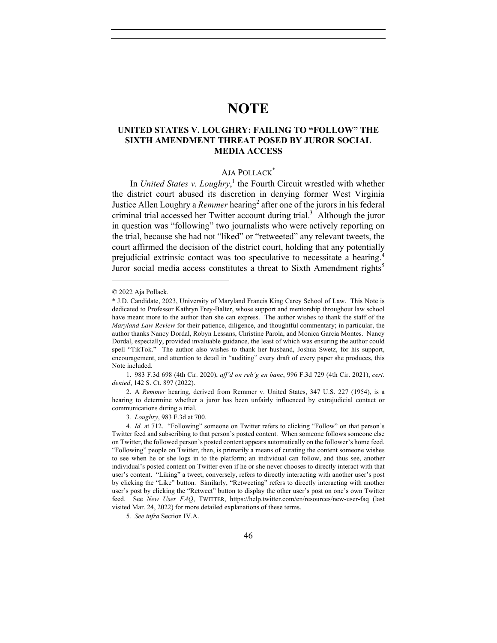## **NOTE**

## **UNITED STATES V. LOUGHRY: FAILING TO "FOLLOW" THE SIXTH AMENDMENT THREAT POSED BY JUROR SOCIAL MEDIA ACCESS**

## AJA POLLACK\*

In *United States v. Loughry*,<sup>1</sup> the Fourth Circuit wrestled with whether the district court abused its discretion in denying former West Virginia Justice Allen Loughry a *Remmer* hearing<sup>2</sup> after one of the jurors in his federal criminal trial accessed her Twitter account during trial.<sup>3</sup> Although the juror in question was "following" two journalists who were actively reporting on the trial, because she had not "liked" or "retweeted" any relevant tweets, the court affirmed the decision of the district court, holding that any potentially prejudicial extrinsic contact was too speculative to necessitate a hearing.<sup>4</sup> Juror social media access constitutes a threat to Sixth Amendment rights<sup>5</sup>

1. 983 F.3d 698 (4th Cir. 2020), *aff'd on reh'g en banc*, 996 F.3d 729 (4th Cir. 2021), *cert. denied*, 142 S. Ct. 897 (2022).

2. A *Remmer* hearing, derived from Remmer v. United States, 347 U.S. 227 (1954), is a hearing to determine whether a juror has been unfairly influenced by extrajudicial contact or communications during a trial.

5*. See infra* Section IV.A.

<sup>© 2022</sup> Aja Pollack.

<sup>\*</sup> J.D. Candidate, 2023, University of Maryland Francis King Carey School of Law. This Note is dedicated to Professor Kathryn Frey-Balter, whose support and mentorship throughout law school have meant more to the author than she can express. The author wishes to thank the staff of the *Maryland Law Review* for their patience, diligence, and thoughtful commentary; in particular, the author thanks Nancy Dordal, Robyn Lessans, Christine Parola, and Monica Garcia Montes. Nancy Dordal, especially, provided invaluable guidance, the least of which was ensuring the author could spell "TikTok." The author also wishes to thank her husband, Joshua Swetz, for his support, encouragement, and attention to detail in "auditing" every draft of every paper she produces, this Note included.

<sup>3</sup>*. Loughry*, 983 F.3d at 700.

<sup>4</sup>*. Id.* at 712. "Following" someone on Twitter refers to clicking "Follow" on that person's Twitter feed and subscribing to that person's posted content. When someone follows someone else on Twitter, the followed person's posted content appears automatically on the follower's home feed. "Following" people on Twitter, then, is primarily a means of curating the content someone wishes to see when he or she logs in to the platform; an individual can follow, and thus see, another individual's posted content on Twitter even if he or she never chooses to directly interact with that user's content. "Liking" a tweet, conversely, refers to directly interacting with another user's post by clicking the "Like" button. Similarly, "Retweeting" refers to directly interacting with another user's post by clicking the "Retweet" button to display the other user's post on one's own Twitter feed. See *New User FAQ*, TWITTER, https://help.twitter.com/en/resources/new-user-faq (last visited Mar. 24, 2022) for more detailed explanations of these terms.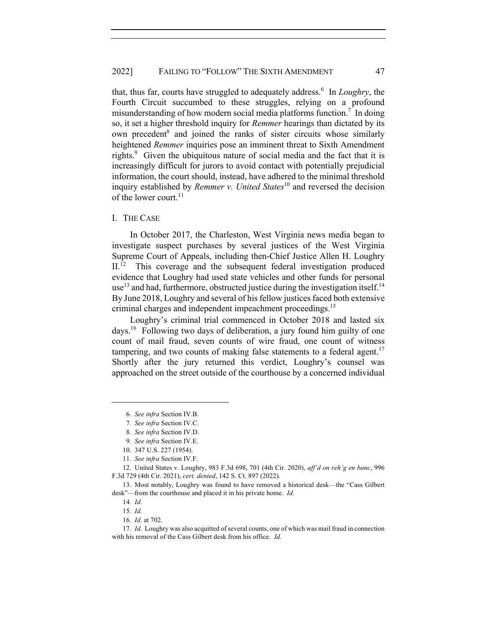that, thus far, courts have struggled to adequately address.<sup>6</sup> In *Loughry*, the Fourth Circuit succumbed to these struggles, relying on a profound misunderstanding of how modern social media platforms function.<sup>7</sup> In doing so, it set a higher threshold inquiry for *Remmer* hearings than dictated by its own precedent $\delta$  and joined the ranks of sister circuits whose similarly heightened *Remmer* inquiries pose an imminent threat to Sixth Amendment rights.<sup>9</sup> Given the ubiquitous nature of social media and the fact that it is increasingly difficult for jurors to avoid contact with potentially prejudicial information, the court should, instead, have adhered to the minimal threshold inquiry established by *Remmer v. United States*<sup>10</sup> and reversed the decision of the lower court. $^{11}$ 

#### I. THE CASE

In October 2017, the Charleston, West Virginia news media began to investigate suspect purchases by several justices of the West Virginia Supreme Court of Appeals, including then-Chief Justice Allen H. Loughry II.<sup>12</sup> This coverage and the subsequent federal investigation produced evidence that Loughry had used state vehicles and other funds for personal use<sup>13</sup> and had, furthermore, obstructed justice during the investigation itself.<sup>14</sup> By June 2018, Loughry and several of his fellow justices faced both extensive criminal charges and independent impeachment proceedings.<sup>15</sup>

Loughry's criminal trial commenced in October 2018 and lasted six days.16 Following two days of deliberation, a jury found him guilty of one count of mail fraud, seven counts of wire fraud, one count of witness tampering, and two counts of making false statements to a federal agent.<sup>17</sup> Shortly after the jury returned this verdict, Loughry's counsel was approached on the street outside of the courthouse by a concerned individual

12. United States v. Loughry, 983 F.3d 698, 701 (4th Cir. 2020), *aff'd on reh'g en banc*, 996 F.3d 729 (4th Cir. 2021), *cert. denied*, 142 S. Ct. 897 (2022).

13. Most notably, Loughry was found to have removed a historical desk—the "Cass Gilbert desk"—from the courthouse and placed it in his private home. *Id.*

<sup>6</sup>*. See infra* Section IV.B.

<sup>7</sup>*. See infra* Section IV.C.

<sup>8</sup>*. See infra* Section IV.D.

<sup>9</sup>*. See infra* Section IV.E.

<sup>10.</sup> 347 U.S. 227 (1954).

<sup>11</sup>*. See infra* Section IV.F.

<sup>14</sup>*. Id.*

<sup>15</sup>*. Id.*

<sup>16</sup>*. Id.* at 702.

<sup>17</sup>*. Id.* Loughry was also acquitted of several counts, one of which was mail fraud in connection with his removal of the Cass Gilbert desk from his office. *Id.*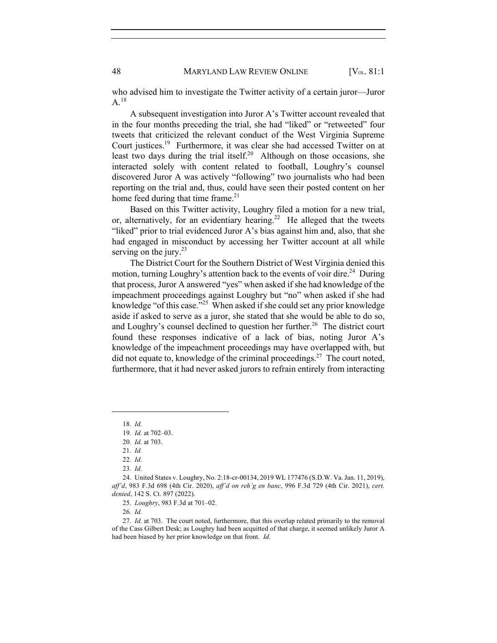who advised him to investigate the Twitter activity of a certain juror—Juror  $A.^{18}$ 

A subsequent investigation into Juror A's Twitter account revealed that in the four months preceding the trial, she had "liked" or "retweeted" four tweets that criticized the relevant conduct of the West Virginia Supreme Court justices.19 Furthermore, it was clear she had accessed Twitter on at least two days during the trial itself.<sup>20</sup> Although on those occasions, she interacted solely with content related to football, Loughry's counsel discovered Juror A was actively "following" two journalists who had been reporting on the trial and, thus, could have seen their posted content on her home feed during that time frame. $21$ 

Based on this Twitter activity, Loughry filed a motion for a new trial, or, alternatively, for an evidentiary hearing.<sup>22</sup> He alleged that the tweets "liked" prior to trial evidenced Juror A's bias against him and, also, that she had engaged in misconduct by accessing her Twitter account at all while serving on the jury. $23$ 

The District Court for the Southern District of West Virginia denied this motion, turning Loughry's attention back to the events of voir dire.<sup>24</sup> During that process, Juror A answered "yes" when asked if she had knowledge of the impeachment proceedings against Loughry but "no" when asked if she had knowledge "of this case."25 When asked if she could set any prior knowledge aside if asked to serve as a juror, she stated that she would be able to do so, and Loughry's counsel declined to question her further.<sup>26</sup> The district court found these responses indicative of a lack of bias, noting Juror A's knowledge of the impeachment proceedings may have overlapped with, but did not equate to, knowledge of the criminal proceedings.<sup>27</sup> The court noted, furthermore, that it had never asked jurors to refrain entirely from interacting

18*. Id.*

<sup>19</sup>*. Id.* at 702–03.

<sup>20</sup>*. Id.* at 703.

<sup>21</sup>*. Id.*

<sup>22</sup>*. Id.*

<sup>23</sup>*. Id.*

<sup>24.</sup> United States v. Loughry, No. 2:18-cr-00134, 2019 WL 177476 (S.D.W. Va. Jan. 11, 2019), *aff'd*, 983 F.3d 698 (4th Cir. 2020), *aff'd on reh'g en banc*, 996 F.3d 729 (4th Cir. 2021), *cert. denied*, 142 S. Ct. 897 (2022).

<sup>25</sup>*. Loughry*, 983 F.3d at 701–02.

<sup>26</sup>*. Id.*

<sup>27</sup>*. Id.* at 703. The court noted, furthermore, that this overlap related primarily to the removal of the Cass Gilbert Desk; as Loughry had been acquitted of that charge, it seemed unlikely Juror A had been biased by her prior knowledge on that front. *Id.*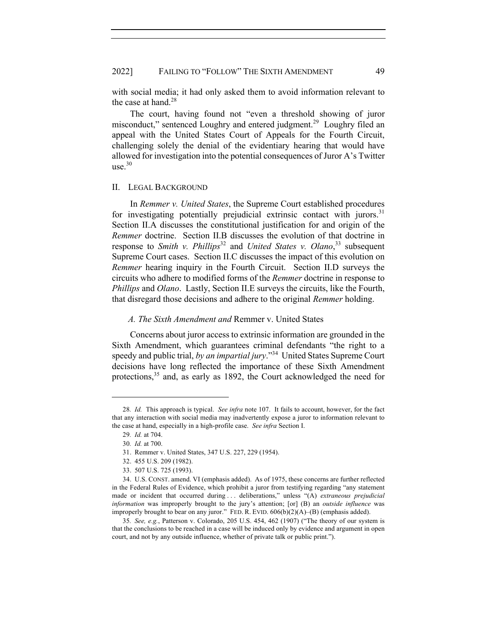with social media; it had only asked them to avoid information relevant to the case at hand. $28$ 

The court, having found not "even a threshold showing of juror misconduct," sentenced Loughry and entered judgment.<sup>29</sup> Loughry filed an appeal with the United States Court of Appeals for the Fourth Circuit, challenging solely the denial of the evidentiary hearing that would have allowed for investigation into the potential consequences of Juror A's Twitter use.<sup>30</sup>

#### II. LEGAL BACKGROUND

In *Remmer v. United States*, the Supreme Court established procedures for investigating potentially prejudicial extrinsic contact with jurors.<sup>31</sup> Section II.A discusses the constitutional justification for and origin of the *Remmer* doctrine. Section II.B discusses the evolution of that doctrine in response to *Smith v. Phillips*<sup>32</sup> and *United States v. Olano*<sup>33</sup> subsequent Supreme Court cases. Section II.C discusses the impact of this evolution on *Remmer* hearing inquiry in the Fourth Circuit. Section II.D surveys the circuits who adhere to modified forms of the *Remmer* doctrine in response to *Phillips* and *Olano*. Lastly, Section II.E surveys the circuits, like the Fourth, that disregard those decisions and adhere to the original *Remmer* holding.

#### *A. The Sixth Amendment and* Remmer v. United States

Concerns about juror access to extrinsic information are grounded in the Sixth Amendment, which guarantees criminal defendants "the right to a speedy and public trial, *by an impartial jury*."34 United States Supreme Court decisions have long reflected the importance of these Sixth Amendment protections,<sup>35</sup> and, as early as 1892, the Court acknowledged the need for

<sup>28</sup>*. Id.* This approach is typical. *See infra* note 107. It fails to account, however, for the fact that any interaction with social media may inadvertently expose a juror to information relevant to the case at hand, especially in a high-profile case. *See infra* Section I.

<sup>29</sup>*. Id.* at 704.

<sup>30</sup>*. Id.* at 700.

<sup>31.</sup> Remmer v. United States, 347 U.S. 227, 229 (1954).

<sup>32.</sup> 455 U.S. 209 (1982).

<sup>33.</sup> 507 U.S. 725 (1993).

<sup>34.</sup> U.S. CONST. amend. VI (emphasis added). As of 1975, these concerns are further reflected in the Federal Rules of Evidence, which prohibit a juror from testifying regarding "any statement made or incident that occurred during . . . deliberations," unless "(A) *extraneous prejudicial information* was improperly brought to the jury's attention; [or] (B) an *outside influence* was improperly brought to bear on any juror." FED. R. EVID.  $606(b)(2)(A)$ –(B) (emphasis added).

<sup>35</sup>*. See, e.g.*, Patterson v. Colorado, 205 U.S. 454, 462 (1907) ("The theory of our system is that the conclusions to be reached in a case will be induced only by evidence and argument in open court, and not by any outside influence, whether of private talk or public print.").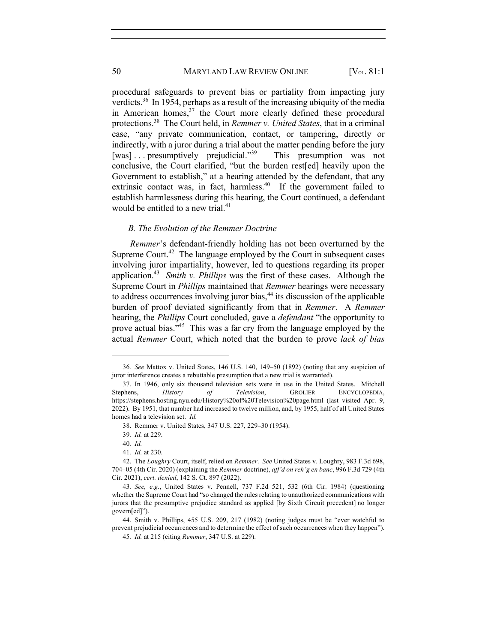procedural safeguards to prevent bias or partiality from impacting jury verdicts.<sup>36</sup> In 1954, perhaps as a result of the increasing ubiquity of the media in American homes, $37$  the Court more clearly defined these procedural protections.38 The Court held, in *Remmer v. United States*, that in a criminal case, "any private communication, contact, or tampering, directly or indirectly, with a juror during a trial about the matter pending before the jury [was] ... presumptively prejudicial."<sup>39</sup> This presumption was not conclusive, the Court clarified, "but the burden rest[ed] heavily upon the Government to establish," at a hearing attended by the defendant, that any extrinsic contact was, in fact, harmless.<sup>40</sup> If the government failed to establish harmlessness during this hearing, the Court continued, a defendant would be entitled to a new trial.<sup>41</sup>

#### *B. The Evolution of the Remmer Doctrine*

*Remmer*'s defendant-friendly holding has not been overturned by the Supreme Court.<sup>42</sup> The language employed by the Court in subsequent cases involving juror impartiality, however, led to questions regarding its proper application.43 *Smith v. Phillips* was the first of these cases. Although the Supreme Court in *Phillips* maintained that *Remmer* hearings were necessary to address occurrences involving juror bias,<sup>44</sup> its discussion of the applicable burden of proof deviated significantly from that in *Remmer*. A *Remmer*  hearing, the *Phillips* Court concluded, gave a *defendant* "the opportunity to prove actual bias."<sup>45</sup> This was a far cry from the language employed by the actual *Remmer* Court, which noted that the burden to prove *lack of bias* 

<sup>36</sup>*. See* Mattox v. United States, 146 U.S. 140, 149–50 (1892) (noting that any suspicion of juror interference creates a rebuttable presumption that a new trial is warranted).

<sup>37.</sup> In 1946, only six thousand television sets were in use in the United States. Mitchell Stephens, *History of Television*, GROLIER ENCYCLOPEDIA, https://stephens.hosting.nyu.edu/History%20of%20Television%20page.html (last visited Apr. 9, 2022). By 1951, that number had increased to twelve million, and, by 1955, half of all United States homes had a television set. *Id.*

<sup>38.</sup> Remmer v. United States, 347 U.S. 227, 229–30 (1954).

<sup>39</sup>*. Id.* at 229.

<sup>40</sup>*. Id.*

<sup>41</sup>*. Id.* at 230.

<sup>42.</sup> The *Loughry* Court, itself, relied on *Remmer*. *See* United States v. Loughry, 983 F.3d 698, 704–05 (4th Cir. 2020) (explaining the *Remmer* doctrine), *aff'd on reh'g en banc*, 996 F.3d 729 (4th Cir. 2021), *cert. denied*, 142 S. Ct. 897 (2022).

<sup>43</sup>*. See, e.g.*, United States v. Pennell, 737 F.2d 521, 532 (6th Cir. 1984) (questioning whether the Supreme Court had "so changed the rules relating to unauthorized communications with jurors that the presumptive prejudice standard as applied [by Sixth Circuit precedent] no longer govern[ed]").

<sup>44.</sup> Smith v. Phillips, 455 U.S. 209, 217 (1982) (noting judges must be "ever watchful to prevent prejudicial occurrences and to determine the effect of such occurrences when they happen"). 45*. Id.* at 215 (citing *Remmer*, 347 U.S. at 229).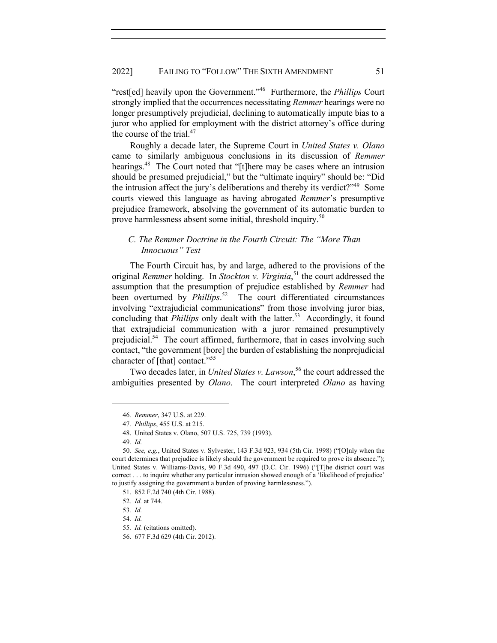"rest[ed] heavily upon the Government."46 Furthermore, the *Phillips* Court strongly implied that the occurrences necessitating *Remmer* hearings were no longer presumptively prejudicial, declining to automatically impute bias to a juror who applied for employment with the district attorney's office during the course of the trial. $47$ 

Roughly a decade later, the Supreme Court in *United States v. Olano*  came to similarly ambiguous conclusions in its discussion of *Remmer* hearings.<sup>48</sup> The Court noted that "[t]here may be cases where an intrusion should be presumed prejudicial," but the "ultimate inquiry" should be: "Did the intrusion affect the jury's deliberations and thereby its verdict?"49 Some courts viewed this language as having abrogated *Remmer*'s presumptive prejudice framework, absolving the government of its automatic burden to prove harmlessness absent some initial, threshold inquiry.<sup>50</sup>

## *C. The Remmer Doctrine in the Fourth Circuit: The "More Than Innocuous" Test*

The Fourth Circuit has, by and large, adhered to the provisions of the original *Remmer* holding. In *Stockton v. Virginia*, <sup>51</sup> the court addressed the assumption that the presumption of prejudice established by *Remmer* had been overturned by *Phillips*. <sup>52</sup>The court differentiated circumstances involving "extrajudicial communications" from those involving juror bias, concluding that *Phillips* only dealt with the latter.<sup>53</sup> Accordingly, it found that extrajudicial communication with a juror remained presumptively prejudicial.<sup>54</sup> The court affirmed, furthermore, that in cases involving such contact, "the government [bore] the burden of establishing the nonprejudicial character of [that] contact."55

Two decades later, in *United States v. Lawson*, <sup>56</sup> the court addressed the ambiguities presented by *Olano*. The court interpreted *Olano* as having

<sup>46</sup>*. Remmer*, 347 U.S. at 229.

<sup>47</sup>*. Phillips*, 455 U.S. at 215.

<sup>48.</sup> United States v. Olano, 507 U.S. 725, 739 (1993).

<sup>49</sup>*. Id.*

<sup>50</sup>*. See, e.g.*, United States v. Sylvester, 143 F.3d 923, 934 (5th Cir. 1998) ("[O]nly when the court determines that prejudice is likely should the government be required to prove its absence."); United States v. Williams-Davis, 90 F.3d 490, 497 (D.C. Cir. 1996) ("[T]he district court was correct . . . to inquire whether any particular intrusion showed enough of a 'likelihood of prejudice' to justify assigning the government a burden of proving harmlessness.").

<sup>51.</sup> 852 F.2d 740 (4th Cir. 1988).

<sup>52</sup>*. Id.* at 744.

<sup>53</sup>*. Id.*

<sup>54</sup>*. Id.*

<sup>55</sup>*. Id.* (citations omitted).

<sup>56.</sup> 677 F.3d 629 (4th Cir. 2012).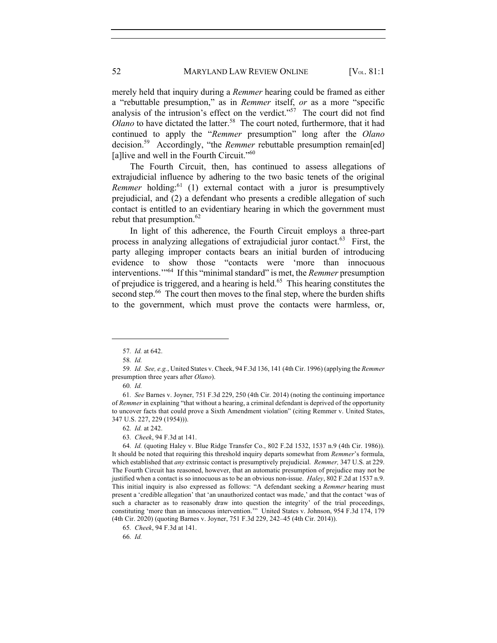merely held that inquiry during a *Remmer* hearing could be framed as either a "rebuttable presumption," as in *Remmer* itself, *or* as a more "specific analysis of the intrusion's effect on the verdict."57 The court did not find *Olano* to have dictated the latter.<sup>58</sup> The court noted, furthermore, that it had continued to apply the "*Remmer* presumption" long after the *Olano* decision.59 Accordingly, "the *Remmer* rebuttable presumption remain[ed] [a]live and well in the Fourth Circuit."<sup>60</sup>

The Fourth Circuit, then, has continued to assess allegations of extrajudicial influence by adhering to the two basic tenets of the original *Remmer* holding:<sup>61</sup> (1) external contact with a juror is presumptively prejudicial, and (2) a defendant who presents a credible allegation of such contact is entitled to an evidentiary hearing in which the government must rebut that presumption.<sup>62</sup>

In light of this adherence, the Fourth Circuit employs a three-part process in analyzing allegations of extrajudicial juror contact.<sup>63</sup> First, the party alleging improper contacts bears an initial burden of introducing evidence to show those "contacts were 'more than innocuous interventions.'"64 If this "minimal standard" is met, the *Remmer* presumption of prejudice is triggered, and a hearing is held.65 This hearing constitutes the second step.<sup>66</sup> The court then moves to the final step, where the burden shifts to the government, which must prove the contacts were harmless, or,

66*. Id.*

<sup>57</sup>*. Id.* at 642.

<sup>58</sup>*. Id.*

<sup>59</sup>*. Id. See, e.g.*, United States v. Cheek, 94 F.3d 136, 141 (4th Cir. 1996) (applying the *Remmer* presumption three years after *Olano*).

<sup>60</sup>*. Id.*

<sup>61</sup>*. See* Barnes v. Joyner, 751 F.3d 229, 250 (4th Cir. 2014) (noting the continuing importance of *Remmer* in explaining "that without a hearing, a criminal defendant is deprived of the opportunity to uncover facts that could prove a Sixth Amendment violation" (citing Remmer v. United States, 347 U.S. 227, 229 (1954))).

<sup>62</sup>*. Id.* at 242.

<sup>63</sup>*. Cheek*, 94 F.3d at 141.

<sup>64</sup>*. Id.* (quoting Haley v. Blue Ridge Transfer Co., 802 F.2d 1532, 1537 n.9 (4th Cir. 1986)). It should be noted that requiring this threshold inquiry departs somewhat from *Remmer*'s formula, which established that *any* extrinsic contact is presumptively prejudicial. *Remmer,* 347 U.S. at 229. The Fourth Circuit has reasoned, however, that an automatic presumption of prejudice may not be justified when a contact is so innocuous as to be an obvious non-issue. *Haley*, 802 F.2d at 1537 n.9. This initial inquiry is also expressed as follows: "A defendant seeking a *Remmer* hearing must present a 'credible allegation' that 'an unauthorized contact was made,' and that the contact 'was of such a character as to reasonably draw into question the integrity' of the trial proceedings, constituting 'more than an innocuous intervention.'" United States v. Johnson, 954 F.3d 174, 179 (4th Cir. 2020) (quoting Barnes v. Joyner, 751 F.3d 229, 242–45 (4th Cir. 2014)).

<sup>65</sup>*. Cheek*, 94 F.3d at 141.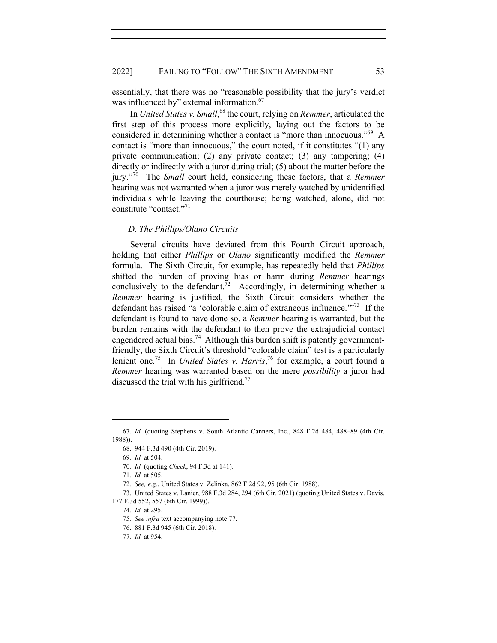essentially, that there was no "reasonable possibility that the jury's verdict was influenced by" external information.<sup>67</sup>

In *United States v. Small*, <sup>68</sup> the court, relying on *Remmer*, articulated the first step of this process more explicitly, laying out the factors to be considered in determining whether a contact is "more than innocuous."69 A contact is "more than innocuous," the court noted, if it constitutes "(1) any private communication; (2) any private contact; (3) any tampering; (4) directly or indirectly with a juror during trial; (5) about the matter before the jury."70 The *Small* court held, considering these factors, that a *Remmer*  hearing was not warranted when a juror was merely watched by unidentified individuals while leaving the courthouse; being watched, alone, did not constitute "contact."71

## *D. The Phillips/Olano Circuits*

Several circuits have deviated from this Fourth Circuit approach, holding that either *Phillips* or *Olano* significantly modified the *Remmer*  formula. The Sixth Circuit, for example, has repeatedly held that *Phillips* shifted the burden of proving bias or harm during *Remmer* hearings conclusively to the defendant.<sup>72</sup> Accordingly, in determining whether a *Remmer* hearing is justified, the Sixth Circuit considers whether the defendant has raised "a 'colorable claim of extraneous influence.'"73 If the defendant is found to have done so, a *Remmer* hearing is warranted, but the burden remains with the defendant to then prove the extrajudicial contact engendered actual bias.<sup>74</sup> Although this burden shift is patently governmentfriendly, the Sixth Circuit's threshold "colorable claim" test is a particularly lenient one.<sup>75</sup> In *United States v. Harris*,<sup>76</sup> for example, a court found a *Remmer* hearing was warranted based on the mere *possibility* a juror had discussed the trial with his girlfriend.<sup>77</sup>

<sup>67</sup>*. Id.* (quoting Stephens v. South Atlantic Canners, Inc., 848 F.2d 484, 488–89 (4th Cir. 1988)).

<sup>68.</sup> 944 F.3d 490 (4th Cir. 2019).

<sup>69</sup>*. Id.* at 504.

<sup>70</sup>*. Id.* (quoting *Cheek*, 94 F.3d at 141).

<sup>71</sup>*. Id.* at 505.

<sup>72</sup>*. See, e.g.*, United States v. Zelinka, 862 F.2d 92, 95 (6th Cir. 1988).

<sup>73.</sup> United States v. Lanier, 988 F.3d 284, 294 (6th Cir. 2021) (quoting United States v. Davis, 177 F.3d 552, 557 (6th Cir. 1999)).

<sup>74</sup>*. Id.* at 295.

<sup>75</sup>*. See infra* text accompanying note 77.

<sup>76.</sup> 881 F.3d 945 (6th Cir. 2018).

<sup>77</sup>*. Id.* at 954.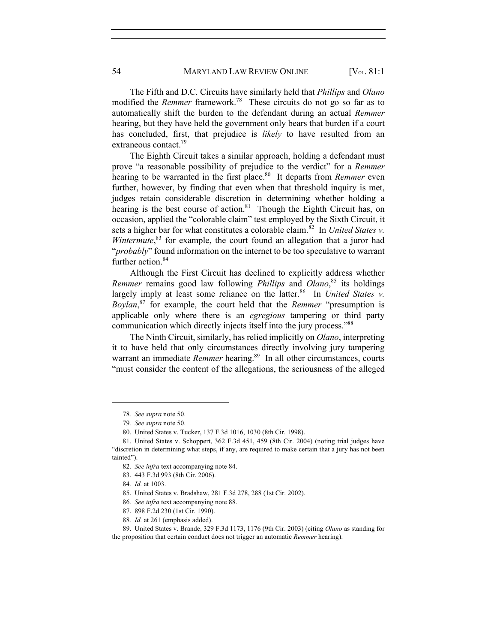The Fifth and D.C. Circuits have similarly held that *Phillips* and *Olano* modified the *Remmer* framework.78 These circuits do not go so far as to automatically shift the burden to the defendant during an actual *Remmer* hearing, but they have held the government only bears that burden if a court has concluded, first, that prejudice is *likely* to have resulted from an extraneous contact.<sup>79</sup>

The Eighth Circuit takes a similar approach, holding a defendant must prove "a reasonable possibility of prejudice to the verdict" for a *Remmer*  hearing to be warranted in the first place.<sup>80</sup> It departs from *Remmer* even further, however, by finding that even when that threshold inquiry is met, judges retain considerable discretion in determining whether holding a hearing is the best course of action. $81$  Though the Eighth Circuit has, on occasion, applied the "colorable claim" test employed by the Sixth Circuit, it sets a higher bar for what constitutes a colorable claim.<sup>82</sup> In *United States v.* Wintermute,<sup>83</sup> for example, the court found an allegation that a juror had "*probably*" found information on the internet to be too speculative to warrant further action.<sup>84</sup>

Although the First Circuit has declined to explicitly address whether *Remmer* remains good law following *Phillips* and *Olano*, <sup>85</sup> its holdings largely imply at least some reliance on the latter.<sup>86</sup> In *United States v. Boylan*, <sup>87</sup> for example, the court held that the *Remmer* "presumption is applicable only where there is an *egregious* tampering or third party communication which directly injects itself into the jury process."<sup>88</sup>

The Ninth Circuit, similarly, has relied implicitly on *Olano*, interpreting it to have held that only circumstances directly involving jury tampering warrant an immediate *Remmer* hearing.<sup>89</sup> In all other circumstances, courts "must consider the content of the allegations, the seriousness of the alleged

88*. Id.* at 261 (emphasis added).

<sup>78</sup>*. See supra* note 50.

<sup>79</sup>*. See supra* note 50.

<sup>80.</sup> United States v. Tucker, 137 F.3d 1016, 1030 (8th Cir. 1998).

<sup>81.</sup> United States v. Schoppert, 362 F.3d 451, 459 (8th Cir. 2004) (noting trial judges have "discretion in determining what steps, if any, are required to make certain that a jury has not been tainted").

<sup>82</sup>*. See infra* text accompanying note 84.

<sup>83.</sup> 443 F.3d 993 (8th Cir. 2006).

<sup>84</sup>*. Id.* at 1003.

<sup>85.</sup> United States v. Bradshaw, 281 F.3d 278, 288 (1st Cir. 2002).

<sup>86</sup>*. See infra* text accompanying note 88.

<sup>87.</sup> 898 F.2d 230 (1st Cir. 1990).

<sup>89.</sup> United States v. Brande, 329 F.3d 1173, 1176 (9th Cir. 2003) (citing *Olano* as standing for the proposition that certain conduct does not trigger an automatic *Remmer* hearing).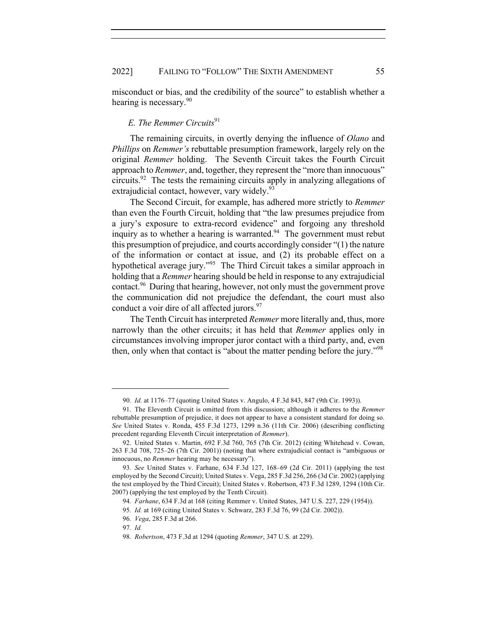misconduct or bias, and the credibility of the source" to establish whether a hearing is necessary.<sup>90</sup>

## *E. The Remmer Circuits*<sup>91</sup>

The remaining circuits, in overtly denying the influence of *Olano* and *Phillips* on *Remmer's* rebuttable presumption framework, largely rely on the original *Remmer* holding. The Seventh Circuit takes the Fourth Circuit approach to *Remmer*, and, together, they represent the "more than innocuous" circuits.92 The tests the remaining circuits apply in analyzing allegations of extrajudicial contact, however, vary widely.<sup>93</sup>

The Second Circuit, for example, has adhered more strictly to *Remmer*  than even the Fourth Circuit, holding that "the law presumes prejudice from a jury's exposure to extra-record evidence" and forgoing any threshold inquiry as to whether a hearing is warranted.<sup>94</sup> The government must rebut this presumption of prejudice, and courts accordingly consider "(1) the nature of the information or contact at issue, and (2) its probable effect on a hypothetical average jury."<sup>95</sup> The Third Circuit takes a similar approach in holding that a *Remmer* hearing should be held in response to any extrajudicial contact.96 During that hearing, however, not only must the government prove the communication did not prejudice the defendant, the court must also conduct a voir dire of all affected jurors.<sup>97</sup>

The Tenth Circuit has interpreted *Remmer* more literally and, thus, more narrowly than the other circuits; it has held that *Remmer* applies only in circumstances involving improper juror contact with a third party, and, even then, only when that contact is "about the matter pending before the jury."<sup>98</sup>

<sup>90</sup>*. Id.* at 1176–77 (quoting United States v. Angulo, 4 F.3d 843, 847 (9th Cir. 1993)).

<sup>91.</sup> The Eleventh Circuit is omitted from this discussion; although it adheres to the *Remmer*  rebuttable presumption of prejudice, it does not appear to have a consistent standard for doing so. *See* United States v. Ronda, 455 F.3d 1273, 1299 n.36 (11th Cir. 2006) (describing conflicting precedent regarding Eleventh Circuit interpretation of *Remmer*).

<sup>92.</sup> United States v. Martin, 692 F.3d 760, 765 (7th Cir. 2012) (citing Whitehead v. Cowan, 263 F.3d 708, 725–26 (7th Cir. 2001)) (noting that where extrajudicial contact is "ambiguous or innocuous, no *Remmer* hearing may be necessary").

<sup>93</sup>*. See* United States v. Farhane, 634 F.3d 127, 168–69 (2d Cir. 2011) (applying the test employed by the Second Circuit); United States v. Vega, 285 F.3d 256, 266 (3d Cir. 2002) (applying the test employed by the Third Circuit); United States v. Robertson, 473 F.3d 1289, 1294 (10th Cir. 2007) (applying the test employed by the Tenth Circuit).

<sup>94</sup>*. Farhane*, 634 F.3d at 168 (citing Remmer v. United States, 347 U.S. 227, 229 (1954)).

<sup>95</sup>*. Id.* at 169 (citing United States v. Schwarz, 283 F.3d 76, 99 (2d Cir. 2002)).

<sup>96</sup>*. Vega*, 285 F.3d at 266.

<sup>97</sup>*. Id.*

<sup>98</sup>*. Robertson*, 473 F.3d at 1294 (quoting *Remmer*, 347 U.S. at 229).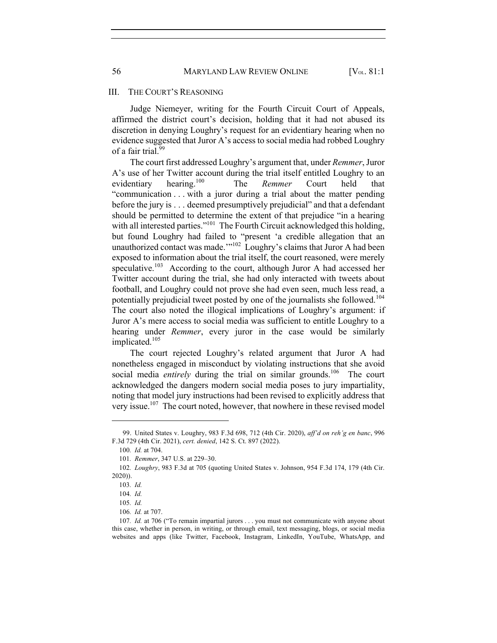#### III. THE COURT'S REASONING

Judge Niemeyer, writing for the Fourth Circuit Court of Appeals, affirmed the district court's decision, holding that it had not abused its discretion in denying Loughry's request for an evidentiary hearing when no evidence suggested that Juror A's access to social media had robbed Loughry of a fair trial.<sup>99</sup>

The court first addressed Loughry's argument that, under *Remmer*, Juror A's use of her Twitter account during the trial itself entitled Loughry to an evidentiary hearing.100 The *Remmer* Court held that "communication . . . with a juror during a trial about the matter pending before the jury is . . . deemed presumptively prejudicial" and that a defendant should be permitted to determine the extent of that prejudice "in a hearing with all interested parties."<sup>101</sup> The Fourth Circuit acknowledged this holding, but found Loughry had failed to "present 'a credible allegation that an unauthorized contact was made.'"<sup>102</sup> Loughry's claims that Juror A had been exposed to information about the trial itself, the court reasoned, were merely speculative.<sup>103</sup> According to the court, although Juror A had accessed her Twitter account during the trial, she had only interacted with tweets about football, and Loughry could not prove she had even seen, much less read, a potentially prejudicial tweet posted by one of the journalists she followed.<sup>104</sup> The court also noted the illogical implications of Loughry's argument: if Juror A's mere access to social media was sufficient to entitle Loughry to a hearing under *Remmer*, every juror in the case would be similarly implicated.<sup>105</sup>

The court rejected Loughry's related argument that Juror A had nonetheless engaged in misconduct by violating instructions that she avoid social media *entirely* during the trial on similar grounds.<sup>106</sup> The court acknowledged the dangers modern social media poses to jury impartiality, noting that model jury instructions had been revised to explicitly address that very issue.<sup>107</sup> The court noted, however, that nowhere in these revised model

<sup>99.</sup> United States v. Loughry, 983 F.3d 698, 712 (4th Cir. 2020), *aff'd on reh'g en banc*, 996 F.3d 729 (4th Cir. 2021), *cert. denied*, 142 S. Ct. 897 (2022).

<sup>100</sup>*. Id.* at 704.

<sup>101</sup>*. Remmer*, 347 U.S. at 229–30.

<sup>102</sup>*. Loughry*, 983 F.3d at 705 (quoting United States v. Johnson, 954 F.3d 174, 179 (4th Cir. 2020)).

<sup>103</sup>*. Id.*

<sup>104</sup>*. Id.*

<sup>105</sup>*. Id.*

<sup>106</sup>*. Id.* at 707.

<sup>107</sup>*. Id.* at 706 ("To remain impartial jurors . . . you must not communicate with anyone about this case, whether in person, in writing, or through email, text messaging, blogs, or social media websites and apps (like Twitter, Facebook, Instagram, LinkedIn, YouTube, WhatsApp, and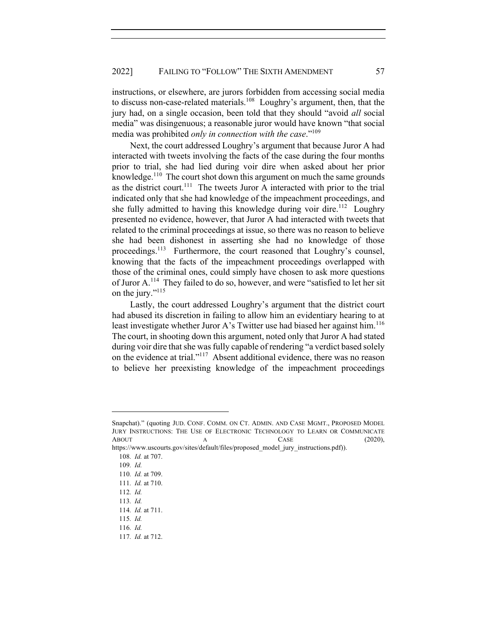instructions, or elsewhere, are jurors forbidden from accessing social media to discuss non-case-related materials.<sup>108</sup> Loughry's argument, then, that the jury had, on a single occasion, been told that they should "avoid *all* social media" was disingenuous; a reasonable juror would have known "that social media was prohibited *only in connection with the case*."109

Next, the court addressed Loughry's argument that because Juror A had interacted with tweets involving the facts of the case during the four months prior to trial, she had lied during voir dire when asked about her prior knowledge.<sup>110</sup> The court shot down this argument on much the same grounds as the district court.<sup>111</sup> The tweets Juror A interacted with prior to the trial indicated only that she had knowledge of the impeachment proceedings, and she fully admitted to having this knowledge during voir dire.<sup>112</sup> Loughry presented no evidence, however, that Juror A had interacted with tweets that related to the criminal proceedings at issue, so there was no reason to believe she had been dishonest in asserting she had no knowledge of those proceedings.<sup>113</sup> Furthermore, the court reasoned that Loughry's counsel, knowing that the facts of the impeachment proceedings overlapped with those of the criminal ones, could simply have chosen to ask more questions of Juror A.114 They failed to do so, however, and were "satisfied to let her sit on the jury."<sup>115</sup>

Lastly, the court addressed Loughry's argument that the district court had abused its discretion in failing to allow him an evidentiary hearing to at least investigate whether Juror A's Twitter use had biased her against him.<sup>116</sup> The court, in shooting down this argument, noted only that Juror A had stated during voir dire that she was fully capable of rendering "a verdict based solely on the evidence at trial."117 Absent additional evidence, there was no reason to believe her preexisting knowledge of the impeachment proceedings

Snapchat)." (quoting JUD. CONF. COMM. ON CT. ADMIN. AND CASE MGMT., PROPOSED MODEL JURY INSTRUCTIONS: THE USE OF ELECTRONIC TECHNOLOGY TO LEARN OR COMMUNICATE ABOUT A CASE (2020),

https://www.uscourts.gov/sites/default/files/proposed\_model\_jury\_instructions.pdf)).

<sup>108</sup>*. Id.* at 707.

<sup>109</sup>*. Id.*

<sup>110</sup>*. Id.* at 709.

<sup>111</sup>*. Id.* at 710.

<sup>112</sup>*. Id.*

<sup>113</sup>*. Id.*

<sup>114</sup>*. Id.* at 711.

<sup>115</sup>*. Id.*

<sup>116</sup>*. Id.*

<sup>117</sup>*. Id.* at 712.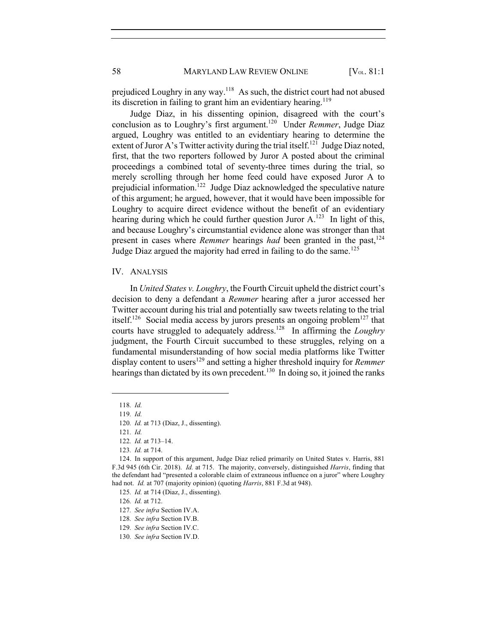58 MARYLAND LAW REVIEW ONLINE [V<sub>OL</sub>. 81:1]

prejudiced Loughry in any way.118 As such, the district court had not abused its discretion in failing to grant him an evidentiary hearing.<sup>119</sup>

Judge Diaz, in his dissenting opinion, disagreed with the court's conclusion as to Loughry's first argument.120 Under *Remmer*, Judge Diaz argued, Loughry was entitled to an evidentiary hearing to determine the extent of Juror A's Twitter activity during the trial itself.<sup>121</sup> Judge Diaz noted, first, that the two reporters followed by Juror A posted about the criminal proceedings a combined total of seventy-three times during the trial, so merely scrolling through her home feed could have exposed Juror A to prejudicial information.<sup>122</sup> Judge Diaz acknowledged the speculative nature of this argument; he argued, however, that it would have been impossible for Loughry to acquire direct evidence without the benefit of an evidentiary hearing during which he could further question Juror  $A<sup>123</sup>$ . In light of this, and because Loughry's circumstantial evidence alone was stronger than that present in cases where *Remmer* hearings *had* been granted in the past,<sup>124</sup> Judge Diaz argued the majority had erred in failing to do the same.<sup>125</sup>

#### IV. ANALYSIS

In *United States v. Loughry*, the Fourth Circuit upheld the district court's decision to deny a defendant a *Remmer* hearing after a juror accessed her Twitter account during his trial and potentially saw tweets relating to the trial itself.<sup>126</sup> Social media access by jurors presents an ongoing problem<sup>127</sup> that courts have struggled to adequately address.128 In affirming the *Loughry* judgment, the Fourth Circuit succumbed to these struggles, relying on a fundamental misunderstanding of how social media platforms like Twitter display content to users<sup>129</sup> and setting a higher threshold inquiry for *Remmer* hearings than dictated by its own precedent.<sup>130</sup> In doing so, it joined the ranks

<sup>118</sup>*. Id.*

<sup>119</sup>*. Id.*

<sup>120</sup>*. Id.* at 713 (Diaz, J., dissenting).

<sup>121</sup>*. Id.*

<sup>122</sup>*. Id.* at 713–14.

<sup>123</sup>*. Id.* at 714.

<sup>124.</sup> In support of this argument, Judge Diaz relied primarily on United States v. Harris, 881 F.3d 945 (6th Cir. 2018). *Id.* at 715. The majority, conversely, distinguished *Harris*, finding that the defendant had "presented a colorable claim of extraneous influence on a juror" where Loughry had not. *Id.* at 707 (majority opinion) (quoting *Harris*, 881 F.3d at 948).

<sup>125</sup>*. Id.* at 714 (Diaz, J., dissenting).

<sup>126</sup>*. Id.* at 712.

<sup>127</sup>*. See infra* Section IV.A.

<sup>128</sup>*. See infra* Section IV.B.

<sup>129</sup>*. See infra* Section IV.C.

<sup>130</sup>*. See infra* Section IV.D.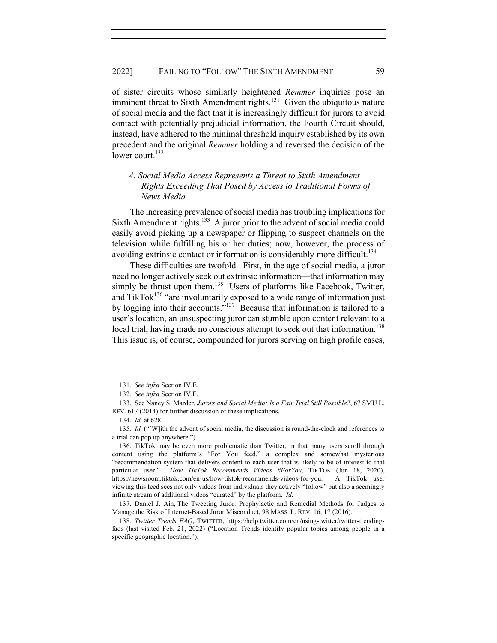of sister circuits whose similarly heightened *Remmer* inquiries pose an imminent threat to Sixth Amendment rights.<sup>131</sup> Given the ubiquitous nature of social media and the fact that it is increasingly difficult for jurors to avoid contact with potentially prejudicial information, the Fourth Circuit should, instead, have adhered to the minimal threshold inquiry established by its own precedent and the original *Remmer* holding and reversed the decision of the lower court. $132$ 

## *A. Social Media Access Represents a Threat to Sixth Amendment Rights Exceeding That Posed by Access to Traditional Forms of News Media*

The increasing prevalence of social media has troubling implications for Sixth Amendment rights.<sup>133</sup> A juror prior to the advent of social media could easily avoid picking up a newspaper or flipping to suspect channels on the television while fulfilling his or her duties; now, however, the process of avoiding extrinsic contact or information is considerably more difficult.<sup>134</sup>

These difficulties are twofold. First, in the age of social media, a juror need no longer actively seek out extrinsic information—that information may simply be thrust upon them.<sup>135</sup> Users of platforms like Facebook, Twitter, and TikTok<sup>136</sup> "are involuntarily exposed to a wide range of information just by logging into their accounts."137 Because that information is tailored to a user's location, an unsuspecting juror can stumble upon content relevant to a local trial, having made no conscious attempt to seek out that information.<sup>138</sup> This issue is, of course, compounded for jurors serving on high profile cases,

137. Daniel J. Ain, The Tweeting Juror: Prophylactic and Remedial Methods for Judges to Manage the Risk of Internet-Based Juror Misconduct, 98 MASS. L. REV. 16, 17 (2016).

<sup>131</sup>*. See infra* Section IV.E.

<sup>132</sup>*. See infra* Section IV.F.

<sup>133.</sup> See Nancy S. Marder, *Jurors and Social Media: Is a Fair Trial Still Possible?*, 67 SMU L. REV. 617 (2014) for further discussion of these implications.

<sup>134</sup>*. Id.* at 628.

<sup>135</sup>*. Id.* ("[W]ith the advent of social media, the discussion is round-the-clock and references to a trial can pop up anywhere.").

<sup>136.</sup> TikTok may be even more problematic than Twitter, in that many users scroll through content using the platform's "For You feed," a complex and somewhat mysterious "recommendation system that delivers content to each user that is likely to be of interest to that particular user." *How TikTok Recommends Videos #ForYou*, TIKTOK (Jun 18, 2020), https://newsroom.tiktok.com/en-us/how-tiktok-recommends-videos-for-you. A TikTok user viewing this feed sees not only videos from individuals they actively "follow" but also a seemingly infinite stream of additional videos "curated" by the platform. *Id.*

<sup>138</sup>*. Twitter Trends FAQ*, TWITTER, https://help.twitter.com/en/using-twitter/twitter-trendingfaqs (last visited Feb. 21, 2022) ("Location Trends identify popular topics among people in a specific geographic location.").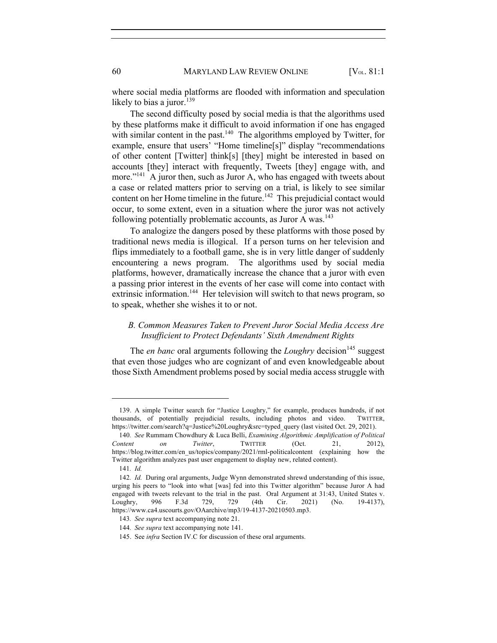60 MARYLAND LAW REVIEW ONLINE [V<sub>OL</sub>. 81:1]

where social media platforms are flooded with information and speculation likely to bias a juror. $139$ 

The second difficulty posed by social media is that the algorithms used by these platforms make it difficult to avoid information if one has engaged with similar content in the past.<sup>140</sup> The algorithms employed by Twitter, for example, ensure that users' "Home timeline[s]" display "recommendations of other content [Twitter] think[s] [they] might be interested in based on accounts [they] interact with frequently, Tweets [they] engage with, and more."<sup>141</sup> A juror then, such as Juror A, who has engaged with tweets about a case or related matters prior to serving on a trial, is likely to see similar content on her Home timeline in the future.<sup>142</sup> This prejudicial contact would occur, to some extent, even in a situation where the juror was not actively following potentially problematic accounts, as Juror A was.<sup>143</sup>

To analogize the dangers posed by these platforms with those posed by traditional news media is illogical. If a person turns on her television and flips immediately to a football game, she is in very little danger of suddenly encountering a news program. The algorithms used by social media platforms, however, dramatically increase the chance that a juror with even a passing prior interest in the events of her case will come into contact with extrinsic information.<sup>144</sup> Her television will switch to that news program, so to speak, whether she wishes it to or not.

## *B. Common Measures Taken to Prevent Juror Social Media Access Are Insufficient to Protect Defendants' Sixth Amendment Rights*

The *en banc* oral arguments following the *Loughry* decision<sup>145</sup> suggest that even those judges who are cognizant of and even knowledgeable about those Sixth Amendment problems posed by social media access struggle with

<sup>139.</sup> A simple Twitter search for "Justice Loughry," for example, produces hundreds, if not thousands, of potentially prejudicial results, including photos and video. TWITTER, https://twitter.com/search?q=Justice%20Loughry&src=typed\_query (last visited Oct. 29, 2021).

<sup>140</sup>*. See* Rummam Chowdhury & Luca Belli, *Examining Algorithmic Amplification of Political Content on Twitter*, TWITTER (Oct. 21, 2012), https://blog.twitter.com/en\_us/topics/company/2021/rml-politicalcontent (explaining how the Twitter algorithm analyzes past user engagement to display new, related content).

<sup>141</sup>*. Id.*

<sup>142</sup>*. Id.* During oral arguments, Judge Wynn demonstrated shrewd understanding of this issue, urging his peers to "look into what [was] fed into this Twitter algorithm" because Juror A had engaged with tweets relevant to the trial in the past. Oral Argument at 31:43, United States v. Loughry, 996 F.3d 729, 729 (4th Cir. 2021) (No. 19-4137), https://www.ca4.uscourts.gov/OAarchive/mp3/19-4137-20210503.mp3.

<sup>143</sup>*. See supra* text accompanying note 21.

<sup>144</sup>*. See supra* text accompanying note 141.

<sup>145.</sup> See *infra* Section IV.C for discussion of these oral arguments.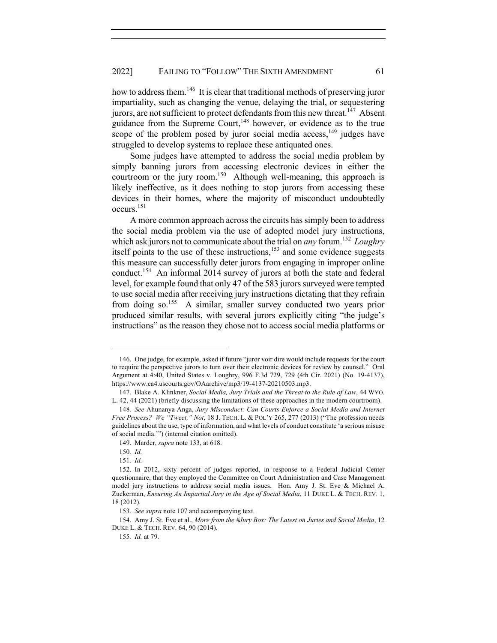how to address them.<sup>146</sup> It is clear that traditional methods of preserving juror impartiality, such as changing the venue, delaying the trial, or sequestering jurors, are not sufficient to protect defendants from this new threat.<sup>147</sup> Absent guidance from the Supreme Court, $148$  however, or evidence as to the true scope of the problem posed by juror social media access,  $149$  judges have struggled to develop systems to replace these antiquated ones.

Some judges have attempted to address the social media problem by simply banning jurors from accessing electronic devices in either the courtroom or the jury room.<sup>150</sup> Although well-meaning, this approach is likely ineffective, as it does nothing to stop jurors from accessing these devices in their homes, where the majority of misconduct undoubtedly occurs.151

A more common approach across the circuits has simply been to address the social media problem via the use of adopted model jury instructions, which ask jurors not to communicate about the trial on *any* forum.<sup>152</sup> *Loughry* itself points to the use of these instructions, $153$  and some evidence suggests this measure can successfully deter jurors from engaging in improper online conduct.<sup>154</sup> An informal 2014 survey of jurors at both the state and federal level, for example found that only 47 of the 583 jurors surveyed were tempted to use social media after receiving jury instructions dictating that they refrain from doing so.<sup>155</sup> A similar, smaller survey conducted two years prior produced similar results, with several jurors explicitly citing "the judge's instructions" as the reason they chose not to access social media platforms or

<sup>146.</sup> One judge, for example, asked if future "juror voir dire would include requests for the court to require the perspective jurors to turn over their electronic devices for review by counsel." Oral Argument at 4:40, United States v. Loughry, 996 F.3d 729, 729 (4th Cir. 2021) (No. 19-4137), https://www.ca4.uscourts.gov/OAarchive/mp3/19-4137-20210503.mp3.

<sup>147.</sup> Blake A. Klinkner, *Social Media, Jury Trials and the Threat to the Rule of Law*, 44 WYO. L. 42, 44 (2021) (briefly discussing the limitations of these approaches in the modern courtroom).

<sup>148</sup>*. See* Ahunanya Anga, *Jury Misconduct: Can Courts Enforce a Social Media and Internet Free Process? We "Tweet," Not*, 18 J. TECH. L. & POL'Y 265, 277 (2013) ("The profession needs guidelines about the use, type of information, and what levels of conduct constitute 'a serious misuse of social media.'") (internal citation omitted).

<sup>149.</sup> Marder, *supra* note 133, at 618.

<sup>150</sup>*. Id.*

<sup>151</sup>*. Id.*

<sup>152.</sup> In 2012, sixty percent of judges reported, in response to a Federal Judicial Center questionnaire, that they employed the Committee on Court Administration and Case Management model jury instructions to address social media issues. Hon. Amy J. St. Eve & Michael A. Zuckerman, *Ensuring An Impartial Jury in the Age of Social Media*, 11 DUKE L. & TECH. REV. 1, 18 (2012).

<sup>153</sup>*. See supra* note 107 and accompanying text.

<sup>154.</sup> Amy J. St. Eve et al., *More from the #Jury Box: The Latest on Juries and Social Media*, 12 DUKE L. & TECH. REV. 64, 90 (2014).

<sup>155</sup>*. Id.* at 79.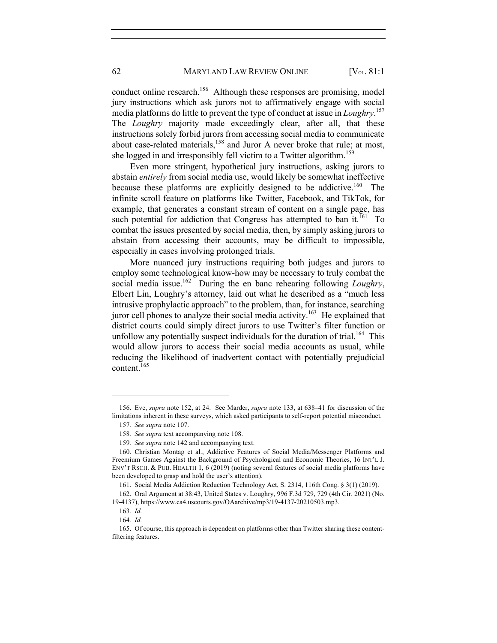conduct online research.<sup>156</sup> Although these responses are promising, model jury instructions which ask jurors not to affirmatively engage with social media platforms do little to prevent the type of conduct at issue in *Loughry*. 157 The *Loughry* majority made exceedingly clear, after all, that these instructions solely forbid jurors from accessing social media to communicate about case-related materials,<sup>158</sup> and Juror A never broke that rule; at most, she logged in and irresponsibly fell victim to a Twitter algorithm.<sup>159</sup>

Even more stringent, hypothetical jury instructions, asking jurors to abstain *entirely* from social media use, would likely be somewhat ineffective because these platforms are explicitly designed to be addictive.<sup>160</sup> The infinite scroll feature on platforms like Twitter, Facebook, and TikTok, for example, that generates a constant stream of content on a single page, has such potential for addiction that Congress has attempted to ban it.<sup>161</sup> To combat the issues presented by social media, then, by simply asking jurors to abstain from accessing their accounts, may be difficult to impossible, especially in cases involving prolonged trials.

More nuanced jury instructions requiring both judges and jurors to employ some technological know-how may be necessary to truly combat the social media issue.<sup>162</sup> During the en banc rehearing following *Loughry*, Elbert Lin, Loughry's attorney, laid out what he described as a "much less intrusive prophylactic approach" to the problem, than, for instance, searching juror cell phones to analyze their social media activity.<sup>163</sup> He explained that district courts could simply direct jurors to use Twitter's filter function or unfollow any potentially suspect individuals for the duration of trial.<sup>164</sup> This would allow jurors to access their social media accounts as usual, while reducing the likelihood of inadvertent contact with potentially prejudicial content.165

<sup>156.</sup> Eve, *supra* note 152, at 24. See Marder, *supra* note 133, at 638–41 for discussion of the limitations inherent in these surveys, which asked participants to self-report potential misconduct.

<sup>157</sup>*. See supra* note 107.

<sup>158</sup>*. See supra* text accompanying note 108.

<sup>159</sup>*. See supra* note 142 and accompanying text.

<sup>160.</sup> Christian Montag et al., Addictive Features of Social Media/Messenger Platforms and Freemium Games Against the Background of Psychological and Economic Theories, 16 INT'L J. ENV'T RSCH. & PUB. HEALTH 1, 6 (2019) (noting several features of social media platforms have been developed to grasp and hold the user's attention).

<sup>161.</sup> Social Media Addiction Reduction Technology Act, S. 2314, 116th Cong. § 3(1) (2019).

<sup>162.</sup> Oral Argument at 38:43, United States v. Loughry, 996 F.3d 729, 729 (4th Cir. 2021) (No. 19-4137), https://www.ca4.uscourts.gov/OAarchive/mp3/19-4137-20210503.mp3.

<sup>163</sup>*. Id.*

<sup>164</sup>*. Id.*

<sup>165.</sup> Of course, this approach is dependent on platforms other than Twitter sharing these contentfiltering features.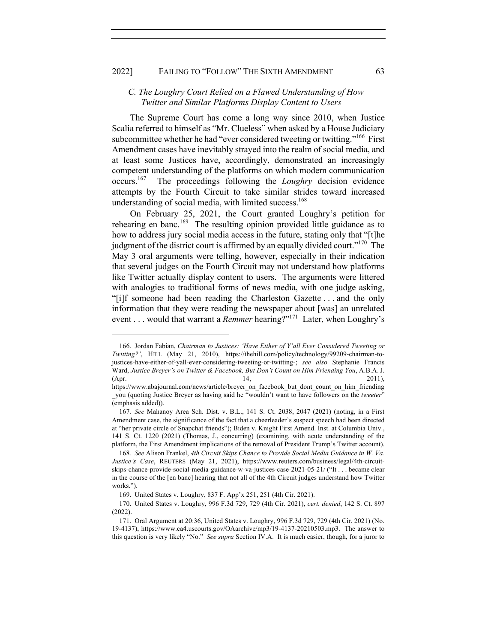#### 2022] FAILING TO "FOLLOW" THE SIXTH AMENDMENT 63

### *C. The Loughry Court Relied on a Flawed Understanding of How Twitter and Similar Platforms Display Content to Users*

The Supreme Court has come a long way since 2010, when Justice Scalia referred to himself as "Mr. Clueless" when asked by a House Judiciary subcommittee whether he had "ever considered tweeting or twitting."<sup>166</sup> First Amendment cases have inevitably strayed into the realm of social media, and at least some Justices have, accordingly, demonstrated an increasingly competent understanding of the platforms on which modern communication occurs.167 The proceedings following the *Loughry* decision evidence attempts by the Fourth Circuit to take similar strides toward increased understanding of social media, with limited success.<sup>168</sup>

On February 25, 2021, the Court granted Loughry's petition for rehearing en banc.<sup>169</sup> The resulting opinion provided little guidance as to how to address jury social media access in the future, stating only that "[t]he judgment of the district court is affirmed by an equally divided court."<sup>170</sup> The May 3 oral arguments were telling, however, especially in their indication that several judges on the Fourth Circuit may not understand how platforms like Twitter actually display content to users. The arguments were littered with analogies to traditional forms of news media, with one judge asking, "[i]f someone had been reading the Charleston Gazette . . . and the only information that they were reading the newspaper about [was] an unrelated event . . . would that warrant a *Remmer* hearing?"<sup>171</sup> Later, when Loughry's

<sup>166.</sup> Jordan Fabian, *Chairman to Justices: 'Have Either of Y'all Ever Considered Tweeting or Twitting?'*, HILL (May 21, 2010), https://thehill.com/policy/technology/99209-chairman-tojustices-have-either-of-yall-ever-considering-tweeting-or-twitting-; *see also* Stephanie Francis Ward, *Justice Breyer's on Twitter & Facebook, But Don't Count on Him Friending You*, A.B.A. J. (Apr. 2011), 2011), https://www.abajournal.com/news/article/breyer\_on\_facebook\_but\_dont\_count\_on\_him\_friending

\_you (quoting Justice Breyer as having said he "wouldn't want to have followers on the *tweeter*" (emphasis added)).

<sup>167</sup>*. See* Mahanoy Area Sch. Dist. v. B.L., 141 S. Ct. 2038, 2047 (2021) (noting, in a First Amendment case, the significance of the fact that a cheerleader's suspect speech had been directed at "her private circle of Snapchat friends"); Biden v. Knight First Amend. Inst. at Columbia Univ., 141 S. Ct. 1220 (2021) (Thomas, J., concurring) (examining, with acute understanding of the platform, the First Amendment implications of the removal of President Trump's Twitter account).

<sup>168</sup>*. See* Alison Frankel, *4th Circuit Skips Chance to Provide Social Media Guidance in W. Va. Justice's Case*, REUTERS (May 21, 2021), https://www.reuters.com/business/legal/4th-circuitskips-chance-provide-social-media-guidance-w-va-justices-case-2021-05-21/ ("It . . . became clear in the course of the [en banc] hearing that not all of the 4th Circuit judges understand how Twitter works.").

<sup>169.</sup> United States v. Loughry, 837 F. App'x 251, 251 (4th Cir. 2021).

<sup>170.</sup> United States v. Loughry, 996 F.3d 729, 729 (4th Cir. 2021), *cert. denied*, 142 S. Ct. 897 (2022).

<sup>171.</sup> Oral Argument at 20:36, United States v. Loughry, 996 F.3d 729, 729 (4th Cir. 2021) (No. 19-4137), https://www.ca4.uscourts.gov/OAarchive/mp3/19-4137-20210503.mp3. The answer to this question is very likely "No." *See supra* Section IV.A. It is much easier, though, for a juror to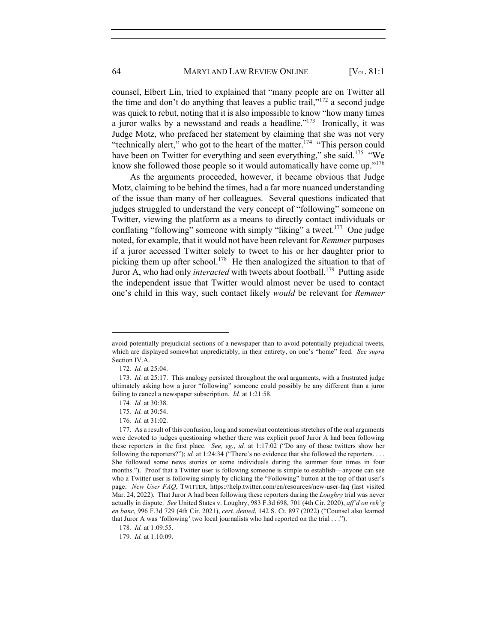counsel, Elbert Lin, tried to explained that "many people are on Twitter all the time and don't do anything that leaves a public trail," $172$  a second judge was quick to rebut, noting that it is also impossible to know "how many times a juror walks by a newsstand and reads a headline. $173$  Ironically, it was Judge Motz, who prefaced her statement by claiming that she was not very "technically alert," who got to the heart of the matter.<sup>174</sup> "This person could have been on Twitter for everything and seen everything," she said.<sup>175</sup> "We know she followed those people so it would automatically have come up."<sup>176</sup>

As the arguments proceeded, however, it became obvious that Judge Motz, claiming to be behind the times, had a far more nuanced understanding of the issue than many of her colleagues. Several questions indicated that judges struggled to understand the very concept of "following" someone on Twitter, viewing the platform as a means to directly contact individuals or conflating "following" someone with simply "liking" a tweet.<sup>177</sup> One judge noted, for example, that it would not have been relevant for *Remmer* purposes if a juror accessed Twitter solely to tweet to his or her daughter prior to picking them up after school.<sup>178</sup> He then analogized the situation to that of Juror A, who had only *interacted* with tweets about football.<sup>179</sup> Putting aside the independent issue that Twitter would almost never be used to contact one's child in this way, such contact likely *would* be relevant for *Remmer* 

avoid potentially prejudicial sections of a newspaper than to avoid potentially prejudicial tweets, which are displayed somewhat unpredictably, in their entirety, on one's "home" feed. *See supra*  Section IV.A.

<sup>172</sup>*. Id.* at 25:04.

<sup>173</sup>*. Id.* at 25:17. This analogy persisted throughout the oral arguments, with a frustrated judge ultimately asking how a juror "following" someone could possibly be any different than a juror failing to cancel a newspaper subscription. *Id.* at 1:21:58.

<sup>174</sup>*. Id.* at 30:38.

<sup>175</sup>*. Id.* at 30:54.

<sup>176</sup>*. Id.* at 31:02.

<sup>177.</sup> As a result of this confusion, long and somewhat contentious stretches of the oral arguments were devoted to judges questioning whether there was explicit proof Juror A had been following these reporters in the first place. *See, eg.*, *id.* at 1:17:02 ("Do any of those twitters show her following the reporters?"); *id.* at 1:24:34 ("There's no evidence that she followed the reporters. . . . She followed some news stories or some individuals during the summer four times in four months."). Proof that a Twitter user is following someone is simple to establish—anyone can see who a Twitter user is following simply by clicking the "Following" button at the top of that user's page. *New User FAQ*, TWITTER, https://help.twitter.com/en/resources/new-user-faq (last visited Mar. 24, 2022). That Juror A had been following these reporters during the *Loughry* trial was never actually in dispute. *See* United States v. Loughry, 983 F.3d 698, 701 (4th Cir. 2020), *aff'd on reh'g en banc*, 996 F.3d 729 (4th Cir. 2021), *cert. denied*, 142 S. Ct. 897 (2022) ("Counsel also learned that Juror A was 'following' two local journalists who had reported on the trial . . .").

<sup>178</sup>*. Id.* at 1:09:55.

<sup>179</sup>*. Id.* at 1:10:09.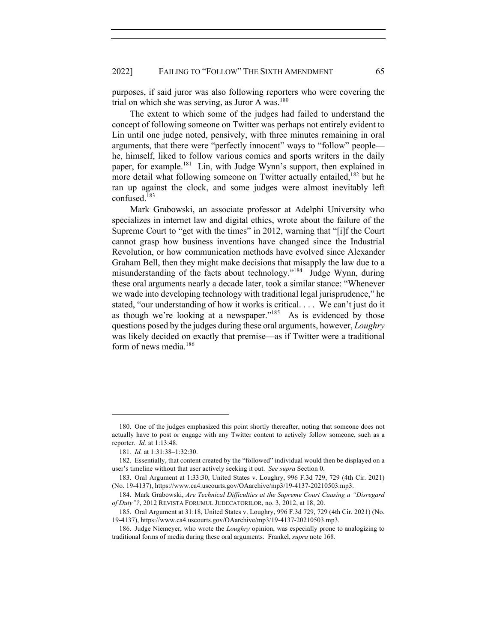purposes, if said juror was also following reporters who were covering the trial on which she was serving, as Juror A was.<sup>180</sup>

The extent to which some of the judges had failed to understand the concept of following someone on Twitter was perhaps not entirely evident to Lin until one judge noted, pensively, with three minutes remaining in oral arguments, that there were "perfectly innocent" ways to "follow" people he, himself, liked to follow various comics and sports writers in the daily paper, for example.<sup>181</sup> Lin, with Judge Wynn's support, then explained in more detail what following someone on Twitter actually entailed,  $182$  but he ran up against the clock, and some judges were almost inevitably left confused.<sup>183</sup>

Mark Grabowski, an associate professor at Adelphi University who specializes in internet law and digital ethics, wrote about the failure of the Supreme Court to "get with the times" in 2012, warning that "[i]f the Court cannot grasp how business inventions have changed since the Industrial Revolution, or how communication methods have evolved since Alexander Graham Bell, then they might make decisions that misapply the law due to a misunderstanding of the facts about technology."<sup>184</sup> Judge Wynn, during these oral arguments nearly a decade later, took a similar stance: "Whenever we wade into developing technology with traditional legal jurisprudence," he stated, "our understanding of how it works is critical. . . . We can't just do it as though we're looking at a newspaper." $185$  As is evidenced by those questions posed by the judges during these oral arguments, however, *Loughry* was likely decided on exactly that premise—as if Twitter were a traditional form of news media.186

<sup>180.</sup> One of the judges emphasized this point shortly thereafter, noting that someone does not actually have to post or engage with any Twitter content to actively follow someone, such as a reporter. *Id.* at 1:13:48.

<sup>181</sup>*. Id.* at 1:31:38–1:32:30.

<sup>182.</sup> Essentially, that content created by the "followed" individual would then be displayed on a user's timeline without that user actively seeking it out. *See supra* Section 0.

<sup>183.</sup> Oral Argument at 1:33:30, United States v. Loughry, 996 F.3d 729, 729 (4th Cir. 2021) (No. 19-4137), https://www.ca4.uscourts.gov/OAarchive/mp3/19-4137-20210503.mp3.

<sup>184.</sup> Mark Grabowski, *Are Technical Difficulties at the Supreme Court Causing a "Disregard of Duty"?*, 2012 REVISTA FORUMUL JUDECATORILOR, no. 3, 2012, at 18, 20.

<sup>185.</sup> Oral Argument at 31:18, United States v. Loughry, 996 F.3d 729, 729 (4th Cir. 2021) (No. 19-4137), https://www.ca4.uscourts.gov/OAarchive/mp3/19-4137-20210503.mp3.

<sup>186.</sup> Judge Niemeyer, who wrote the *Loughry* opinion, was especially prone to analogizing to traditional forms of media during these oral arguments. Frankel, *supra* note 168.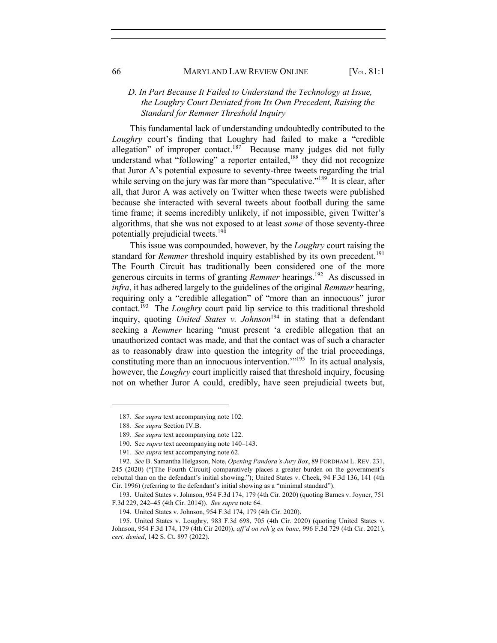## *D. In Part Because It Failed to Understand the Technology at Issue, the Loughry Court Deviated from Its Own Precedent, Raising the Standard for Remmer Threshold Inquiry*

This fundamental lack of understanding undoubtedly contributed to the *Loughry* court's finding that Loughry had failed to make a "credible allegation" of improper contact.<sup>187</sup> Because many judges did not fully understand what "following" a reporter entailed, $188$  they did not recognize that Juror A's potential exposure to seventy-three tweets regarding the trial while serving on the jury was far more than "speculative."<sup>189</sup> It is clear, after all, that Juror A was actively on Twitter when these tweets were published because she interacted with several tweets about football during the same time frame; it seems incredibly unlikely, if not impossible, given Twitter's algorithms, that she was not exposed to at least *some* of those seventy-three potentially prejudicial tweets.190

This issue was compounded, however, by the *Loughry* court raising the standard for *Remmer* threshold inquiry established by its own precedent.<sup>191</sup> The Fourth Circuit has traditionally been considered one of the more generous circuits in terms of granting *Remmer* hearings.<sup>192</sup> As discussed in *infra*, it has adhered largely to the guidelines of the original *Remmer* hearing, requiring only a "credible allegation" of "more than an innocuous" juror contact.<sup>193</sup> The *Loughry* court paid lip service to this traditional threshold inquiry, quoting *United States v. Johnson*<sup>194</sup> in stating that a defendant seeking a *Remmer* hearing "must present 'a credible allegation that an unauthorized contact was made, and that the contact was of such a character as to reasonably draw into question the integrity of the trial proceedings, constituting more than an innocuous intervention."<sup>195</sup> In its actual analysis, however, the *Loughry* court implicitly raised that threshold inquiry, focusing not on whether Juror A could, credibly, have seen prejudicial tweets but,

<sup>187</sup>*. See supra* text accompanying note 102.

<sup>188</sup>*. See supra* Section IV.B.

<sup>189</sup>*. See supra* text accompanying note 122.

<sup>190.</sup> See *supra* text accompanying note 140–143.

<sup>191</sup>*. See supra* text accompanying note 62.

<sup>192</sup>*. See* B. Samantha Helgason, Note, *Opening Pandora's Jury Box*, 89 FORDHAM L. REV. 231, 245 (2020) ("[The Fourth Circuit] comparatively places a greater burden on the government's rebuttal than on the defendant's initial showing."); United States v. Cheek, 94 F.3d 136, 141 (4th Cir. 1996) (referring to the defendant's initial showing as a "minimal standard").

<sup>193.</sup> United States v. Johnson, 954 F.3d 174, 179 (4th Cir. 2020) (quoting Barnes v. Joyner, 751 F.3d 229, 242–45 (4th Cir. 2014)). *See supra* note 64.

<sup>194.</sup> United States v. Johnson, 954 F.3d 174, 179 (4th Cir. 2020).

<sup>195.</sup> United States v. Loughry, 983 F.3d 698, 705 (4th Cir. 2020) (quoting United States v. Johnson, 954 F.3d 174, 179 (4th Cir 2020)), *aff'd on reh'g en banc*, 996 F.3d 729 (4th Cir. 2021), *cert. denied*, 142 S. Ct. 897 (2022).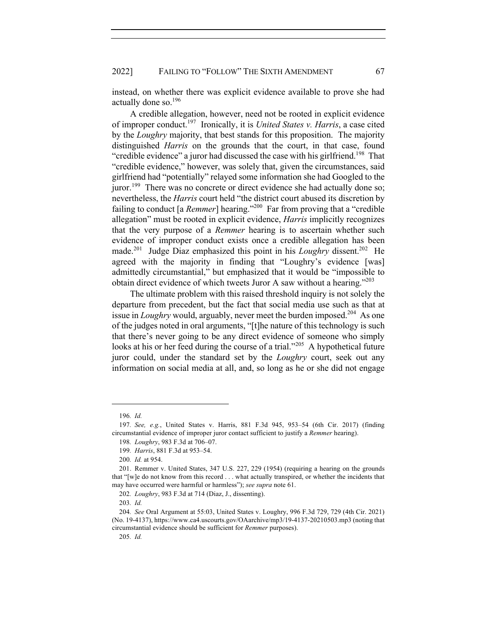instead, on whether there was explicit evidence available to prove she had actually done so.196

A credible allegation, however, need not be rooted in explicit evidence of improper conduct.197 Ironically, it is *United States v. Harris*, a case cited by the *Loughry* majority, that best stands for this proposition. The majority distinguished *Harris* on the grounds that the court, in that case, found "credible evidence" a juror had discussed the case with his girlfriend.<sup>198</sup> That "credible evidence," however, was solely that, given the circumstances, said girlfriend had "potentially" relayed some information she had Googled to the juror.<sup>199</sup> There was no concrete or direct evidence she had actually done so; nevertheless, the *Harris* court held "the district court abused its discretion by failing to conduct [a *Remmer*] hearing."200 Far from proving that a "credible allegation" must be rooted in explicit evidence, *Harris* implicitly recognizes that the very purpose of a *Remmer* hearing is to ascertain whether such evidence of improper conduct exists once a credible allegation has been made.<sup>201</sup> Judge Diaz emphasized this point in his *Loughry* dissent.<sup>202</sup> He agreed with the majority in finding that "Loughry's evidence [was] admittedly circumstantial," but emphasized that it would be "impossible to obtain direct evidence of which tweets Juror A saw without a hearing."<sup>203</sup>

The ultimate problem with this raised threshold inquiry is not solely the departure from precedent, but the fact that social media use such as that at issue in *Loughry* would, arguably, never meet the burden imposed.<sup>204</sup> As one of the judges noted in oral arguments, "[t]he nature of this technology is such that there's never going to be any direct evidence of someone who simply looks at his or her feed during the course of a trial."<sup>205</sup> A hypothetical future juror could, under the standard set by the *Loughry* court, seek out any information on social media at all, and, so long as he or she did not engage

<sup>196</sup>*. Id.*

<sup>197</sup>*. See, e.g.*, United States v. Harris, 881 F.3d 945, 953–54 (6th Cir. 2017) (finding circumstantial evidence of improper juror contact sufficient to justify a *Remmer* hearing).

<sup>198</sup>*. Loughry*, 983 F.3d at 706–07.

<sup>199</sup>*. Harris*, 881 F.3d at 953–54.

<sup>200</sup>*. Id.* at 954.

<sup>201.</sup> Remmer v. United States, 347 U.S. 227, 229 (1954) (requiring a hearing on the grounds that "[w]e do not know from this record . . . what actually transpired, or whether the incidents that may have occurred were harmful or harmless"); *see supra* note 61.

<sup>202</sup>*. Loughry*, 983 F.3d at 714 (Diaz, J., dissenting).

<sup>203</sup>*. Id.*

<sup>204</sup>*. See* Oral Argument at 55:03, United States v. Loughry, 996 F.3d 729, 729 (4th Cir. 2021) (No. 19-4137), https://www.ca4.uscourts.gov/OAarchive/mp3/19-4137-20210503.mp3 (noting that circumstantial evidence should be sufficient for *Remmer* purposes).

<sup>205</sup>*. Id.*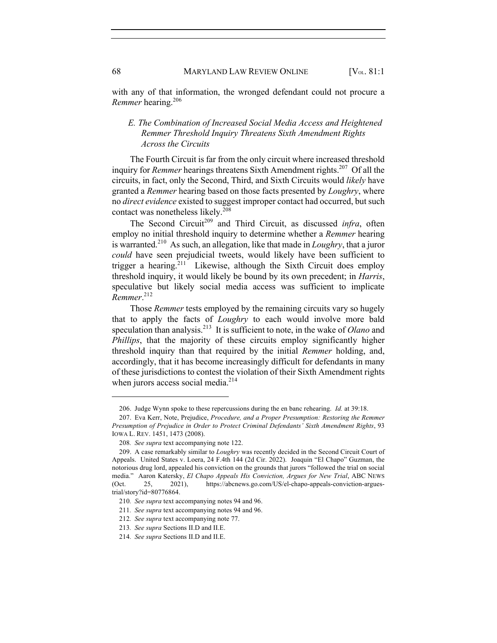with any of that information, the wronged defendant could not procure a *Remmer* hearing.206

## *E. The Combination of Increased Social Media Access and Heightened Remmer Threshold Inquiry Threatens Sixth Amendment Rights Across the Circuits*

The Fourth Circuit is far from the only circuit where increased threshold inquiry for *Remmer* hearings threatens Sixth Amendment rights.<sup>207</sup> Of all the circuits, in fact, only the Second, Third, and Sixth Circuits would *likely* have granted a *Remmer* hearing based on those facts presented by *Loughry*, where no *direct evidence* existed to suggest improper contact had occurred, but such contact was nonetheless likely.<sup>208</sup>

The Second Circuit<sup>209</sup> and Third Circuit, as discussed *infra*, often employ no initial threshold inquiry to determine whether a *Remmer* hearing is warranted.210 As such, an allegation, like that made in *Loughry*, that a juror *could* have seen prejudicial tweets, would likely have been sufficient to trigger a hearing.<sup>211</sup> Likewise, although the Sixth Circuit does employ threshold inquiry, it would likely be bound by its own precedent; in *Harris*, speculative but likely social media access was sufficient to implicate *Remmer*. 212

Those *Remmer* tests employed by the remaining circuits vary so hugely that to apply the facts of *Loughry* to each would involve more bald speculation than analysis.213 It is sufficient to note, in the wake of *Olano* and *Phillips*, that the majority of these circuits employ significantly higher threshold inquiry than that required by the initial *Remmer* holding, and, accordingly, that it has become increasingly difficult for defendants in many of these jurisdictions to contest the violation of their Sixth Amendment rights when jurors access social media. $2^{14}$ 

<sup>206.</sup> Judge Wynn spoke to these repercussions during the en banc rehearing. *Id.* at 39:18.

<sup>207.</sup> Eva Kerr, Note, Prejudice, *Procedure, and a Proper Presumption: Restoring the Remmer Presumption of Prejudice in Order to Protect Criminal Defendants' Sixth Amendment Rights*, 93 IOWA L. REV. 1451, 1473 (2008).

<sup>208</sup>*. See supra* text accompanying note 122.

<sup>209.</sup> A case remarkably similar to *Loughry* was recently decided in the Second Circuit Court of Appeals. United States v. Loera, 24 F.4th 144 (2d Cir. 2022). Joaquin "El Chapo" Guzman, the notorious drug lord, appealed his conviction on the grounds that jurors "followed the trial on social media." Aaron Katersky, *El Chapo Appeals His Conviction, Argues for New Trial*, ABC NEWS (Oct. 25, 2021), https://abcnews.go.com/US/el-chapo-appeals-conviction-arguestrial/story?id=80776864.

<sup>210</sup>*. See supra* text accompanying notes 94 and 96.

<sup>211</sup>*. See supra* text accompanying notes 94 and 96.

<sup>212</sup>*. See supra* text accompanying note 77.

<sup>213</sup>*. See supra* Sections II.D and II.E.

<sup>214</sup>*. See supra* Sections II.D and II.E.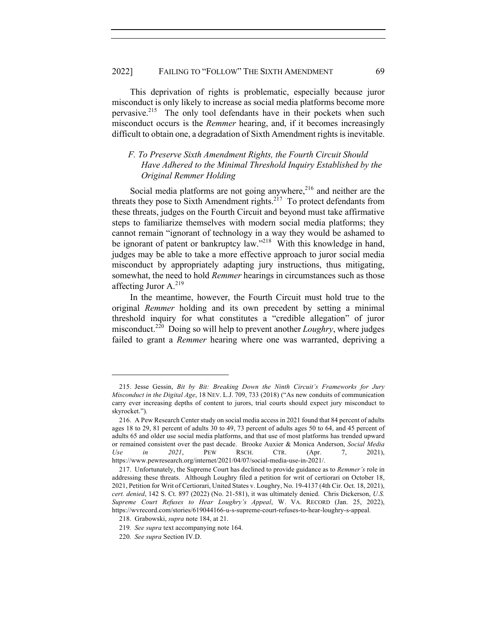This deprivation of rights is problematic, especially because juror misconduct is only likely to increase as social media platforms become more pervasive.215 The only tool defendants have in their pockets when such misconduct occurs is the *Remmer* hearing, and, if it becomes increasingly difficult to obtain one, a degradation of Sixth Amendment rights is inevitable.

## *F. To Preserve Sixth Amendment Rights, the Fourth Circuit Should Have Adhered to the Minimal Threshold Inquiry Established by the Original Remmer Holding*

Social media platforms are not going anywhere, $216$  and neither are the threats they pose to Sixth Amendment rights.<sup>217</sup> To protect defendants from these threats, judges on the Fourth Circuit and beyond must take affirmative steps to familiarize themselves with modern social media platforms; they cannot remain "ignorant of technology in a way they would be ashamed to be ignorant of patent or bankruptcy law."<sup>218</sup> With this knowledge in hand, judges may be able to take a more effective approach to juror social media misconduct by appropriately adapting jury instructions, thus mitigating, somewhat, the need to hold *Remmer* hearings in circumstances such as those affecting Juror A.<sup>219</sup>

In the meantime, however, the Fourth Circuit must hold true to the original *Remmer* holding and its own precedent by setting a minimal threshold inquiry for what constitutes a "credible allegation" of juror misconduct.220 Doing so will help to prevent another *Loughry*, where judges failed to grant a *Remmer* hearing where one was warranted, depriving a

<sup>215.</sup> Jesse Gessin, *Bit by Bit: Breaking Down the Ninth Circuit's Frameworks for Jury Misconduct in the Digital Age*, 18 NEV. L.J. 709, 733 (2018) ("As new conduits of communication carry ever increasing depths of content to jurors, trial courts should expect jury misconduct to skyrocket.").

<sup>216.</sup> A Pew Research Center study on social media access in 2021 found that 84 percent of adults ages 18 to 29, 81 percent of adults 30 to 49, 73 percent of adults ages 50 to 64, and 45 percent of adults 65 and older use social media platforms, and that use of most platforms has trended upward or remained consistent over the past decade. Brooke Auxier & Monica Anderson, *Social Media Use in 2021*, PEW RSCH. CTR. (Apr. 7, 2021), https://www.pewresearch.org/internet/2021/04/07/social-media-use-in-2021/.

<sup>217.</sup> Unfortunately, the Supreme Court has declined to provide guidance as to *Remmer's* role in addressing these threats. Although Loughry filed a petition for writ of certiorari on October 18, 2021, Petition for Writ of Certiorari, United States v. Loughry, No. 19-4137 (4th Cir. Oct. 18, 2021), *cert. denied*, 142 S. Ct. 897 (2022) (No. 21-581), it was ultimately denied. Chris Dickerson, *U.S. Supreme Court Refuses to Hear Loughry's Appeal*, W. VA. RECORD (Jan. 25, 2022), https://wvrecord.com/stories/619044166-u-s-supreme-court-refuses-to-hear-loughry-s-appeal.

<sup>218.</sup> Grabowski, *supra* note 184, at 21.

<sup>219</sup>*. See supra* text accompanying note 164.

<sup>220</sup>*. See supra* Section IV.D.